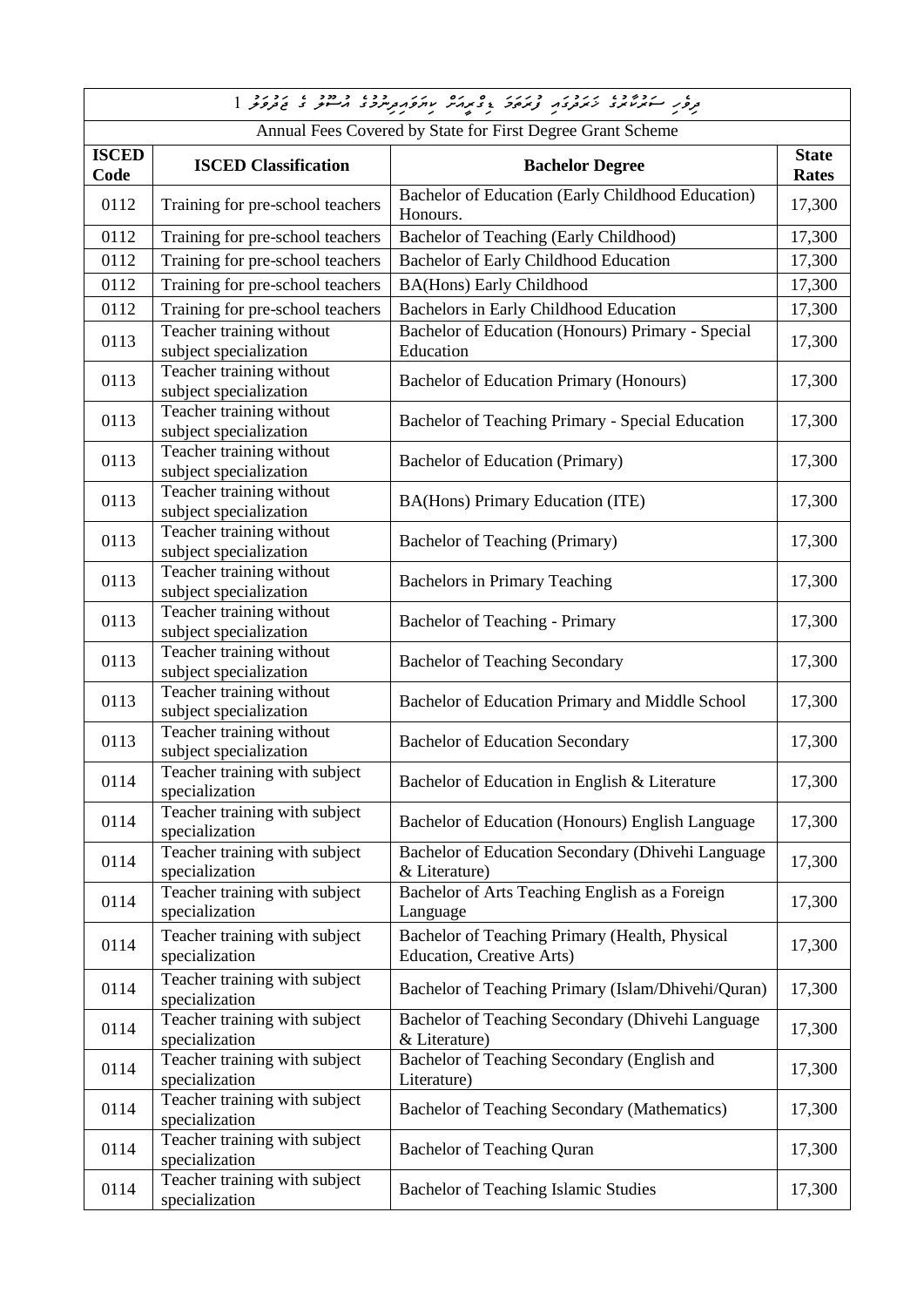| Annual Fees Covered by State for First Degree Grant Scheme |                                                    |                                                                                    |                              |
|------------------------------------------------------------|----------------------------------------------------|------------------------------------------------------------------------------------|------------------------------|
| <b>ISCED</b><br>Code                                       | <b>ISCED Classification</b>                        | <b>Bachelor Degree</b>                                                             | <b>State</b><br><b>Rates</b> |
| 0112                                                       | Training for pre-school teachers                   | Bachelor of Education (Early Childhood Education)<br>Honours.                      | 17,300                       |
| 0112                                                       | Training for pre-school teachers                   | Bachelor of Teaching (Early Childhood)                                             | 17,300                       |
| 0112                                                       | Training for pre-school teachers                   | Bachelor of Early Childhood Education                                              | 17,300                       |
| 0112                                                       | Training for pre-school teachers                   | <b>BA(Hons)</b> Early Childhood                                                    | 17,300                       |
| 0112                                                       | Training for pre-school teachers                   | Bachelors in Early Childhood Education                                             | 17,300                       |
| 0113                                                       | Teacher training without<br>subject specialization | Bachelor of Education (Honours) Primary - Special<br>Education                     | 17,300                       |
| 0113                                                       | Teacher training without<br>subject specialization | Bachelor of Education Primary (Honours)                                            | 17,300                       |
| 0113                                                       | Teacher training without<br>subject specialization | Bachelor of Teaching Primary - Special Education                                   | 17,300                       |
| 0113                                                       | Teacher training without<br>subject specialization | Bachelor of Education (Primary)                                                    | 17,300                       |
| 0113                                                       | Teacher training without<br>subject specialization | BA(Hons) Primary Education (ITE)                                                   | 17,300                       |
| 0113                                                       | Teacher training without<br>subject specialization | <b>Bachelor of Teaching (Primary)</b>                                              | 17,300                       |
| 0113                                                       | Teacher training without<br>subject specialization | <b>Bachelors in Primary Teaching</b>                                               | 17,300                       |
| 0113                                                       | Teacher training without<br>subject specialization | Bachelor of Teaching - Primary                                                     | 17,300                       |
| 0113                                                       | Teacher training without<br>subject specialization | <b>Bachelor of Teaching Secondary</b>                                              | 17,300                       |
| 0113                                                       | Teacher training without<br>subject specialization | Bachelor of Education Primary and Middle School                                    | 17,300                       |
| 0113                                                       | Teacher training without<br>subject specialization | <b>Bachelor of Education Secondary</b>                                             | 17,300                       |
| 0114                                                       | Teacher training with subject<br>specialization    | Bachelor of Education in English & Literature                                      | 17,300                       |
| 0114                                                       | Teacher training with subject<br>specialization    | Bachelor of Education (Honours) English Language                                   | 17,300                       |
| 0114                                                       | Teacher training with subject<br>specialization    | Bachelor of Education Secondary (Dhivehi Language<br>& Literature)                 | 17,300                       |
| 0114                                                       | Teacher training with subject<br>specialization    | Bachelor of Arts Teaching English as a Foreign<br>Language                         | 17,300                       |
| 0114                                                       | Teacher training with subject<br>specialization    | Bachelor of Teaching Primary (Health, Physical<br><b>Education, Creative Arts)</b> | 17,300                       |
| 0114                                                       | Teacher training with subject<br>specialization    | Bachelor of Teaching Primary (Islam/Dhivehi/Quran)                                 | 17,300                       |
| 0114                                                       | Teacher training with subject<br>specialization    | Bachelor of Teaching Secondary (Dhivehi Language<br>& Literature)                  | 17,300                       |
| 0114                                                       | Teacher training with subject<br>specialization    | Bachelor of Teaching Secondary (English and<br>Literature)                         | 17,300                       |
| 0114                                                       | Teacher training with subject<br>specialization    | Bachelor of Teaching Secondary (Mathematics)                                       | 17,300                       |
| 0114                                                       | Teacher training with subject<br>specialization    | <b>Bachelor of Teaching Quran</b>                                                  | 17,300                       |
| 0114                                                       | Teacher training with subject<br>specialization    | Bachelor of Teaching Islamic Studies                                               | 17,300                       |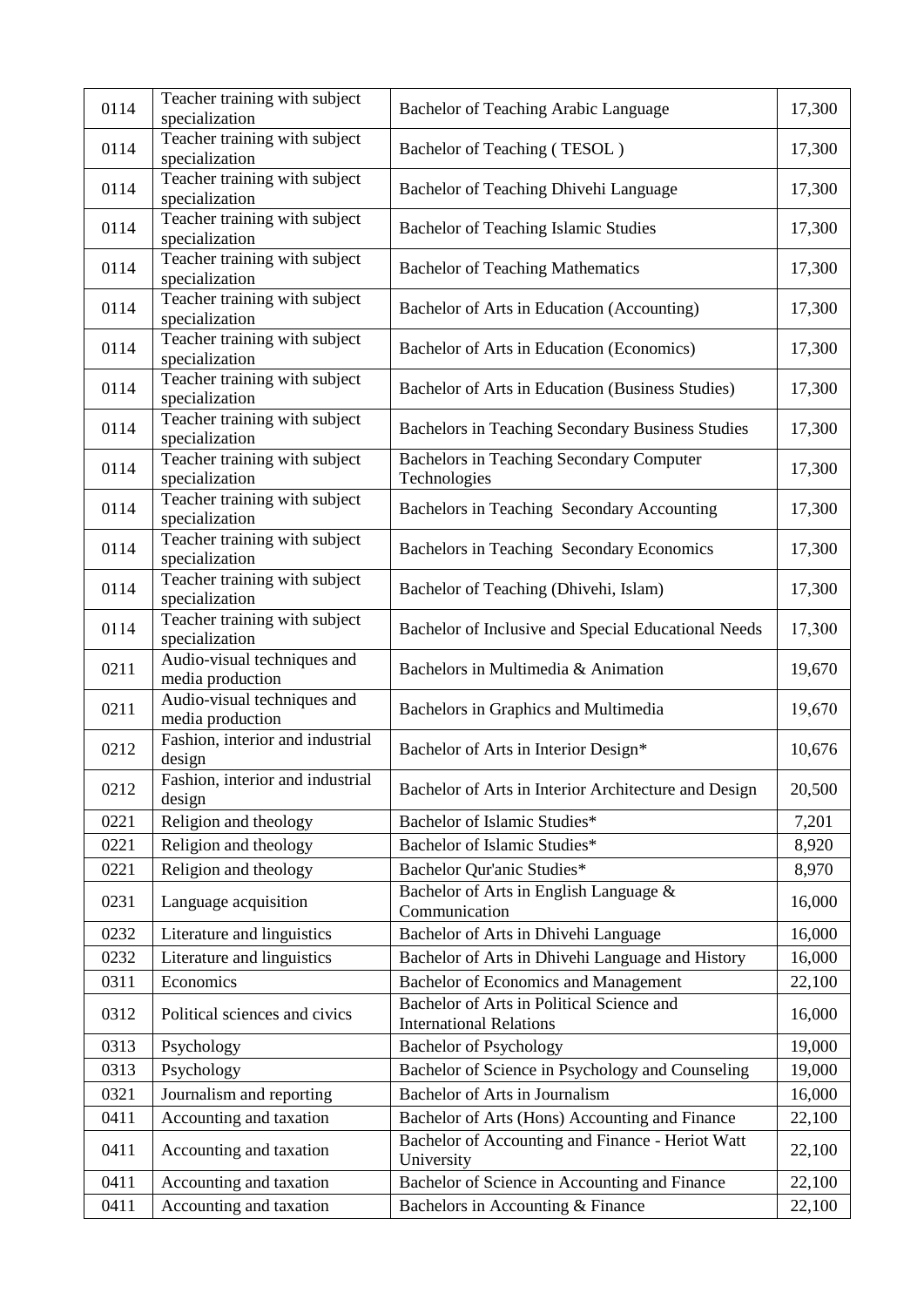| 0114 | Teacher training with subject<br>specialization | Bachelor of Teaching Arabic Language                                        | 17,300 |
|------|-------------------------------------------------|-----------------------------------------------------------------------------|--------|
| 0114 | Teacher training with subject<br>specialization | Bachelor of Teaching (TESOL)                                                | 17,300 |
| 0114 | Teacher training with subject<br>specialization | Bachelor of Teaching Dhivehi Language                                       | 17,300 |
| 0114 | Teacher training with subject<br>specialization | <b>Bachelor of Teaching Islamic Studies</b>                                 | 17,300 |
| 0114 | Teacher training with subject<br>specialization | <b>Bachelor of Teaching Mathematics</b>                                     | 17,300 |
| 0114 | Teacher training with subject<br>specialization | Bachelor of Arts in Education (Accounting)                                  | 17,300 |
| 0114 | Teacher training with subject<br>specialization | Bachelor of Arts in Education (Economics)                                   | 17,300 |
| 0114 | Teacher training with subject<br>specialization | Bachelor of Arts in Education (Business Studies)                            | 17,300 |
| 0114 | Teacher training with subject<br>specialization | Bachelors in Teaching Secondary Business Studies                            | 17,300 |
| 0114 | Teacher training with subject<br>specialization | <b>Bachelors in Teaching Secondary Computer</b><br>Technologies             | 17,300 |
| 0114 | Teacher training with subject<br>specialization | Bachelors in Teaching Secondary Accounting                                  | 17,300 |
| 0114 | Teacher training with subject<br>specialization | Bachelors in Teaching Secondary Economics                                   | 17,300 |
| 0114 | Teacher training with subject<br>specialization | Bachelor of Teaching (Dhivehi, Islam)                                       | 17,300 |
| 0114 | Teacher training with subject<br>specialization | Bachelor of Inclusive and Special Educational Needs                         | 17,300 |
| 0211 | Audio-visual techniques and<br>media production | Bachelors in Multimedia & Animation                                         | 19,670 |
| 0211 | Audio-visual techniques and<br>media production | Bachelors in Graphics and Multimedia                                        | 19,670 |
| 0212 | Fashion, interior and industrial<br>design      | Bachelor of Arts in Interior Design*                                        | 10,676 |
| 0212 | Fashion, interior and industrial<br>design      | Bachelor of Arts in Interior Architecture and Design                        | 20,500 |
| 0221 | Religion and theology                           | Bachelor of Islamic Studies*                                                | 7,201  |
| 0221 | Religion and theology                           | Bachelor of Islamic Studies*                                                | 8,920  |
| 0221 | Religion and theology                           | Bachelor Qur'anic Studies*                                                  | 8,970  |
| 0231 | Language acquisition                            | Bachelor of Arts in English Language &<br>Communication                     | 16,000 |
| 0232 | Literature and linguistics                      | Bachelor of Arts in Dhivehi Language                                        | 16,000 |
| 0232 | Literature and linguistics                      | Bachelor of Arts in Dhivehi Language and History                            | 16,000 |
| 0311 | Economics                                       | Bachelor of Economics and Management                                        | 22,100 |
| 0312 | Political sciences and civics                   | Bachelor of Arts in Political Science and<br><b>International Relations</b> | 16,000 |
| 0313 | Psychology                                      | <b>Bachelor of Psychology</b>                                               | 19,000 |
| 0313 | Psychology                                      | Bachelor of Science in Psychology and Counseling                            | 19,000 |
| 0321 | Journalism and reporting                        | Bachelor of Arts in Journalism                                              | 16,000 |
| 0411 | Accounting and taxation                         | Bachelor of Arts (Hons) Accounting and Finance                              | 22,100 |
| 0411 | Accounting and taxation                         | Bachelor of Accounting and Finance - Heriot Watt<br>University              | 22,100 |
| 0411 | Accounting and taxation                         | Bachelor of Science in Accounting and Finance                               | 22,100 |
| 0411 | Accounting and taxation                         | Bachelors in Accounting & Finance                                           | 22,100 |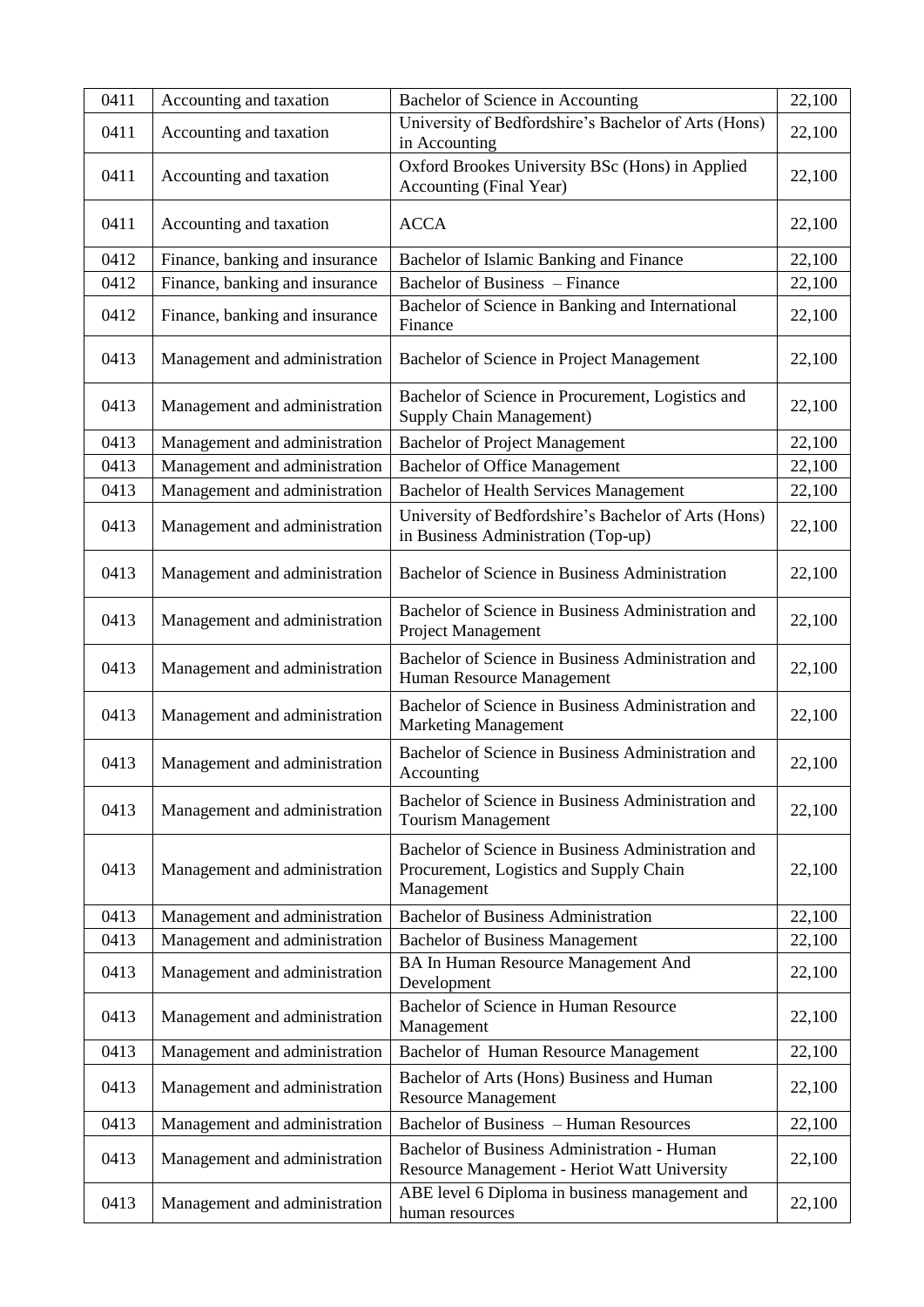| 0411 | Accounting and taxation        | Bachelor of Science in Accounting                                                                           | 22,100 |
|------|--------------------------------|-------------------------------------------------------------------------------------------------------------|--------|
| 0411 | Accounting and taxation        | University of Bedfordshire's Bachelor of Arts (Hons)<br>in Accounting                                       | 22,100 |
| 0411 | Accounting and taxation        | Oxford Brookes University BSc (Hons) in Applied<br>Accounting (Final Year)                                  | 22,100 |
| 0411 | Accounting and taxation        | <b>ACCA</b>                                                                                                 | 22,100 |
| 0412 | Finance, banking and insurance | Bachelor of Islamic Banking and Finance                                                                     | 22,100 |
| 0412 | Finance, banking and insurance | Bachelor of Business – Finance                                                                              | 22,100 |
| 0412 | Finance, banking and insurance | Bachelor of Science in Banking and International<br>Finance                                                 | 22,100 |
| 0413 | Management and administration  | Bachelor of Science in Project Management                                                                   | 22,100 |
| 0413 | Management and administration  | Bachelor of Science in Procurement, Logistics and<br><b>Supply Chain Management)</b>                        | 22,100 |
| 0413 | Management and administration  | <b>Bachelor of Project Management</b>                                                                       | 22,100 |
| 0413 | Management and administration  | <b>Bachelor of Office Management</b>                                                                        | 22,100 |
| 0413 | Management and administration  | <b>Bachelor of Health Services Management</b>                                                               | 22,100 |
| 0413 | Management and administration  | University of Bedfordshire's Bachelor of Arts (Hons)<br>in Business Administration (Top-up)                 | 22,100 |
| 0413 | Management and administration  | Bachelor of Science in Business Administration                                                              | 22,100 |
| 0413 | Management and administration  | Bachelor of Science in Business Administration and<br>Project Management                                    | 22,100 |
| 0413 | Management and administration  | Bachelor of Science in Business Administration and<br>Human Resource Management                             | 22,100 |
| 0413 | Management and administration  | Bachelor of Science in Business Administration and<br><b>Marketing Management</b>                           | 22,100 |
| 0413 | Management and administration  | Bachelor of Science in Business Administration and<br>Accounting                                            | 22,100 |
| 0413 | Management and administration  | Bachelor of Science in Business Administration and<br><b>Tourism Management</b>                             | 22,100 |
| 0413 | Management and administration  | Bachelor of Science in Business Administration and<br>Procurement, Logistics and Supply Chain<br>Management | 22,100 |
| 0413 | Management and administration  | <b>Bachelor of Business Administration</b>                                                                  | 22,100 |
| 0413 | Management and administration  | <b>Bachelor of Business Management</b>                                                                      | 22,100 |
| 0413 | Management and administration  | BA In Human Resource Management And<br>Development                                                          | 22,100 |
| 0413 | Management and administration  | Bachelor of Science in Human Resource<br>Management                                                         | 22,100 |
| 0413 | Management and administration  | Bachelor of Human Resource Management                                                                       | 22,100 |
| 0413 | Management and administration  | Bachelor of Arts (Hons) Business and Human<br><b>Resource Management</b>                                    | 22,100 |
| 0413 | Management and administration  | Bachelor of Business - Human Resources                                                                      | 22,100 |
| 0413 | Management and administration  | Bachelor of Business Administration - Human<br>Resource Management - Heriot Watt University                 | 22,100 |
| 0413 | Management and administration  | ABE level 6 Diploma in business management and<br>human resources                                           | 22,100 |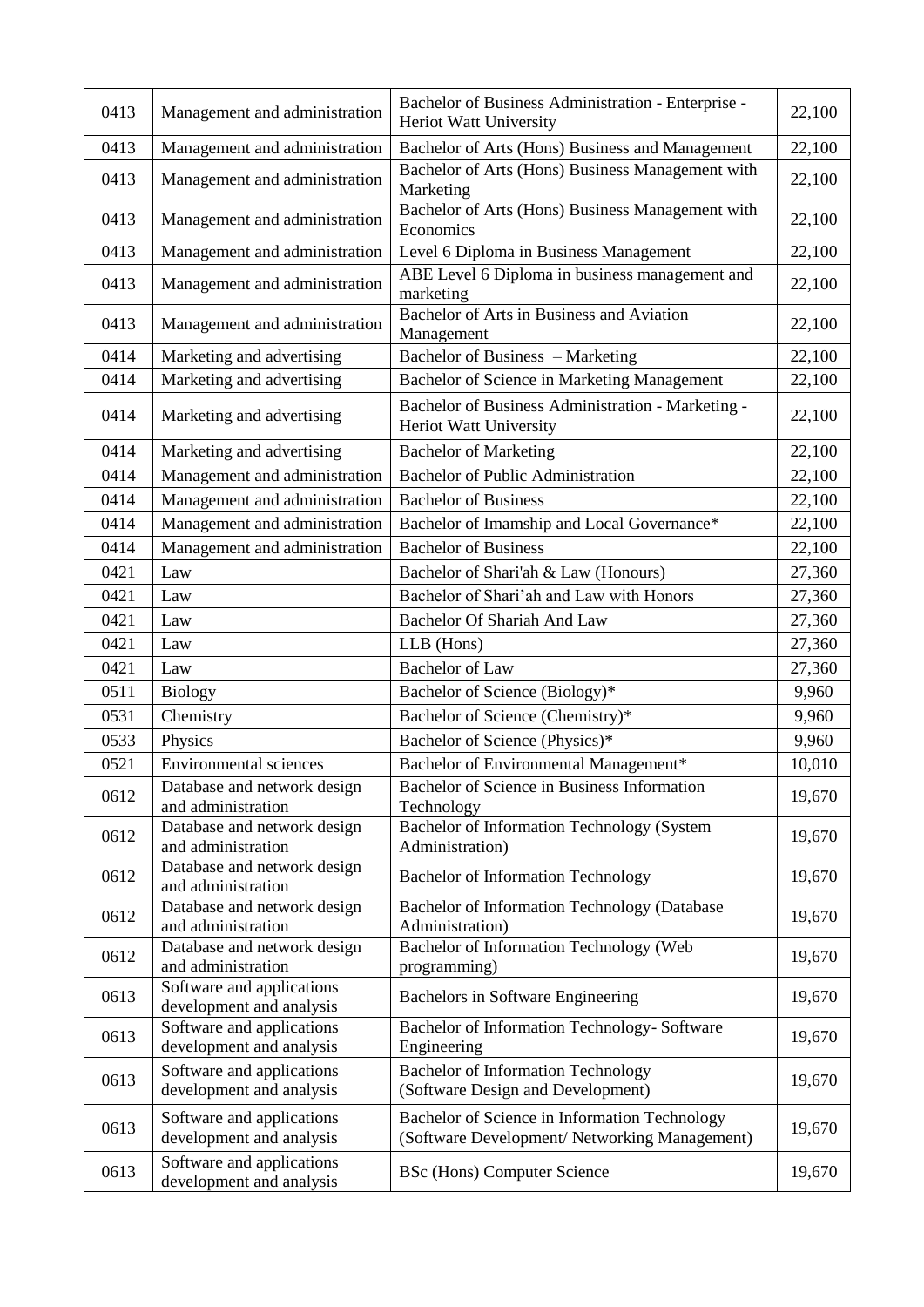| 0413 | Management and administration                         | Bachelor of Business Administration - Enterprise -<br>Heriot Watt University                   | 22,100 |
|------|-------------------------------------------------------|------------------------------------------------------------------------------------------------|--------|
| 0413 | Management and administration                         | Bachelor of Arts (Hons) Business and Management                                                | 22,100 |
| 0413 | Management and administration                         | Bachelor of Arts (Hons) Business Management with<br>Marketing                                  | 22,100 |
| 0413 | Management and administration                         | Bachelor of Arts (Hons) Business Management with<br>Economics                                  | 22,100 |
| 0413 | Management and administration                         | Level 6 Diploma in Business Management                                                         | 22,100 |
| 0413 | Management and administration                         | ABE Level 6 Diploma in business management and<br>marketing                                    | 22,100 |
| 0413 | Management and administration                         | Bachelor of Arts in Business and Aviation<br>Management                                        | 22,100 |
| 0414 | Marketing and advertising                             | Bachelor of Business - Marketing                                                               | 22,100 |
| 0414 | Marketing and advertising                             | Bachelor of Science in Marketing Management                                                    | 22,100 |
| 0414 | Marketing and advertising                             | Bachelor of Business Administration - Marketing -<br><b>Heriot Watt University</b>             | 22,100 |
| 0414 | Marketing and advertising                             | <b>Bachelor of Marketing</b>                                                                   | 22,100 |
| 0414 | Management and administration                         | <b>Bachelor of Public Administration</b>                                                       | 22,100 |
| 0414 | Management and administration                         | <b>Bachelor of Business</b>                                                                    | 22,100 |
| 0414 | Management and administration                         | Bachelor of Imamship and Local Governance*                                                     | 22,100 |
| 0414 | Management and administration                         | <b>Bachelor of Business</b>                                                                    | 22,100 |
| 0421 | Law                                                   | Bachelor of Shari'ah & Law (Honours)                                                           | 27,360 |
| 0421 | Law                                                   | Bachelor of Shari'ah and Law with Honors                                                       | 27,360 |
| 0421 | Law                                                   | Bachelor Of Shariah And Law                                                                    | 27,360 |
| 0421 | Law                                                   | LLB (Hons)                                                                                     | 27,360 |
| 0421 | Law                                                   | <b>Bachelor</b> of Law                                                                         | 27,360 |
| 0511 | <b>Biology</b>                                        | Bachelor of Science (Biology)*                                                                 | 9,960  |
| 0531 | Chemistry                                             | Bachelor of Science (Chemistry)*                                                               | 9,960  |
| 0533 | Physics                                               | Bachelor of Science (Physics)*                                                                 | 9,960  |
| 0521 | Environmental sciences                                | Bachelor of Environmental Management*                                                          | 10,010 |
| 0612 | Database and network design<br>and administration     | Bachelor of Science in Business Information<br>Technology                                      | 19,670 |
| 0612 | Database and network design<br>and administration     | Bachelor of Information Technology (System<br>Administration)                                  | 19,670 |
| 0612 | Database and network design<br>and administration     | <b>Bachelor of Information Technology</b>                                                      | 19,670 |
| 0612 | Database and network design<br>and administration     | Bachelor of Information Technology (Database<br>Administration)                                | 19,670 |
| 0612 | Database and network design<br>and administration     | Bachelor of Information Technology (Web<br>programming)                                        | 19,670 |
| 0613 | Software and applications<br>development and analysis | Bachelors in Software Engineering                                                              | 19,670 |
| 0613 | Software and applications<br>development and analysis | Bachelor of Information Technology- Software<br>Engineering                                    | 19,670 |
| 0613 | Software and applications<br>development and analysis | <b>Bachelor of Information Technology</b><br>(Software Design and Development)                 | 19,670 |
| 0613 | Software and applications<br>development and analysis | Bachelor of Science in Information Technology<br>(Software Development/ Networking Management) | 19,670 |
| 0613 | Software and applications<br>development and analysis | <b>BSc</b> (Hons) Computer Science                                                             | 19,670 |